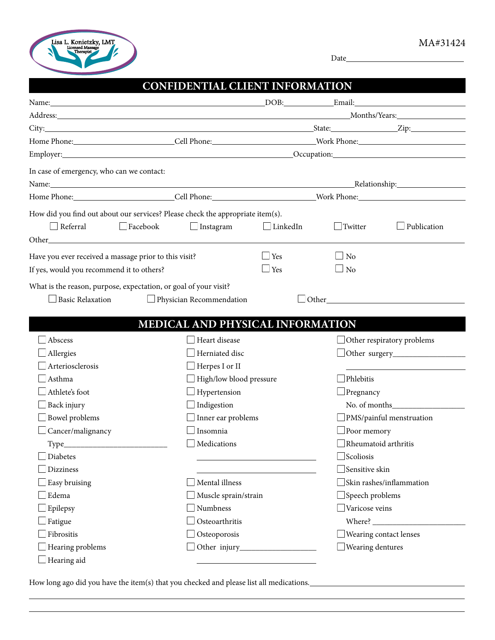

Date

|                                                                                |                 | CONFIDENTIAL CLIENT INFORMATION  |                 |                               |                                                               |
|--------------------------------------------------------------------------------|-----------------|----------------------------------|-----------------|-------------------------------|---------------------------------------------------------------|
|                                                                                |                 |                                  |                 |                               |                                                               |
|                                                                                |                 |                                  |                 |                               |                                                               |
|                                                                                |                 |                                  |                 |                               |                                                               |
|                                                                                |                 |                                  |                 |                               |                                                               |
|                                                                                |                 |                                  |                 |                               | Employer: Occupation: Occupation:                             |
| In case of emergency, who can we contact:                                      |                 |                                  |                 |                               |                                                               |
|                                                                                |                 |                                  |                 |                               |                                                               |
|                                                                                |                 |                                  |                 |                               |                                                               |
| How did you find out about our services? Please check the appropriate item(s). |                 |                                  |                 |                               |                                                               |
| $\Box$ Referral                                                                | $\Box$ Facebook | $\Box$ Instagram                 | $\Box$ LinkedIn | $\Box$ Twitter                | Publication                                                   |
|                                                                                |                 |                                  |                 |                               |                                                               |
| Have you ever received a massage prior to this visit?                          |                 |                                  | ⊥Yes            | $\Box$ No                     |                                                               |
| If yes, would you recommend it to others?                                      |                 |                                  | $\Box$ Yes      | $\Box$ No                     |                                                               |
| Abscess                                                                        |                 | Heart disease                    |                 |                               | $\Box$ Other respiratory problems                             |
|                                                                                |                 | MEDICAL AND PHYSICAL INFORMATION |                 |                               |                                                               |
|                                                                                |                 |                                  |                 |                               |                                                               |
| Allergies                                                                      |                 | Herniated disc                   |                 |                               | $\Box$ Other surgery $\_\_\_\_\_\_\_\_\_\_\_\_\_\_\_\_\_\_\_$ |
| Arteriosclerosis                                                               |                 | Herpes I or II                   |                 |                               |                                                               |
| Asthma                                                                         |                 | High/low blood pressure          |                 | Phlebitis                     |                                                               |
| Athlete's foot                                                                 |                 | Hypertension                     |                 | $\Box$ Pregnancy              |                                                               |
| Back injury                                                                    |                 | Indigestion                      |                 |                               |                                                               |
| Bowel problems                                                                 |                 | Inner ear problems               |                 |                               | $\Box$ PMS/painful menstruation                               |
| Cancer/malignancy                                                              |                 | Insomnia                         |                 | $\Box$ Poor memory            |                                                               |
| Type_                                                                          |                 | Medications                      |                 |                               | Rheumatoid arthritis                                          |
| Diabetes                                                                       |                 |                                  |                 | $\Box$ Scoliosis              |                                                               |
| <b>Dizziness</b>                                                               |                 |                                  |                 | $\Box$ Sensitive skin         |                                                               |
| Easy bruising                                                                  |                 | Mental illness                   |                 |                               | Skin rashes/inflammation                                      |
| Edema                                                                          |                 | Muscle sprain/strain             |                 | $\Box$ Speech problems        |                                                               |
| Epilepsy                                                                       |                 | Numbness                         |                 | $\Box$ Varicose veins         |                                                               |
| Fatigue                                                                        |                 | Osteoarthritis                   |                 |                               |                                                               |
| Fibrositis                                                                     |                 | Osteoporosis                     |                 | $\Box$ Wearing contact lenses |                                                               |
| Hearing problems                                                               |                 |                                  |                 | $\Box$ Wearing dentures       |                                                               |
| Hearing aid                                                                    |                 |                                  |                 |                               |                                                               |

How long ago did you have the item(s) that you checked and please list all medications.